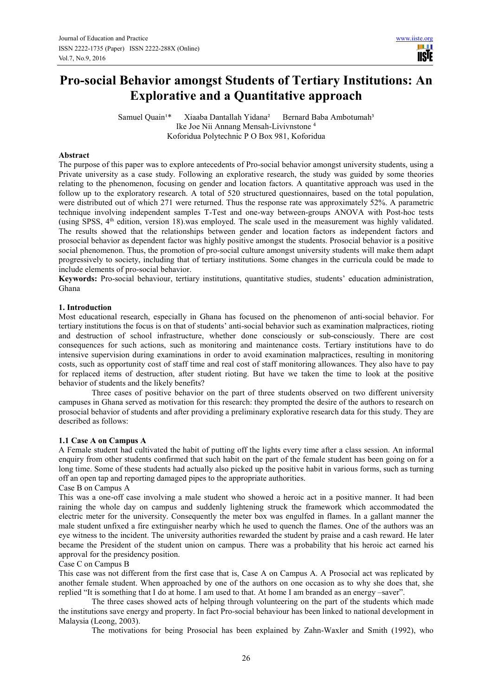**TISTE** 

# **Pro-social Behavior amongst Students of Tertiary Institutions: An Explorative and a Quantitative approach**

Samuel Quain<sup>1\*</sup> Xiaaba Dantallah Yidana<sup>2</sup> Bernard Baba Ambotumah<sup>3</sup> Ike Joe Nii Annang Mensah-Livivnstone <sup>4</sup> Koforidua Polytechnic P O Box 981, Koforidua

#### **Abstract**

The purpose of this paper was to explore antecedents of Pro-social behavior amongst university students, using a Private university as a case study. Following an explorative research, the study was guided by some theories relating to the phenomenon, focusing on gender and location factors. A quantitative approach was used in the follow up to the exploratory research. A total of 520 structured questionnaires, based on the total population, were distributed out of which 271 were returned. Thus the response rate was approximately 52%. A parametric technique involving independent samples T-Test and one-way between-groups ANOVA with Post-hoc tests (using SPSS, 4th edition, version 18).was employed. The scale used in the measurement was highly validated. The results showed that the relationships between gender and location factors as independent factors and prosocial behavior as dependent factor was highly positive amongst the students. Prosocial behavior is a positive social phenomenon. Thus, the promotion of pro-social culture amongst university students will make them adapt progressively to society, including that of tertiary institutions. Some changes in the curricula could be made to include elements of pro-social behavior.

**Keywords:** Pro-social behaviour, tertiary institutions, quantitative studies, students' education administration, Ghana

## **1. Introduction**

Most educational research, especially in Ghana has focused on the phenomenon of anti-social behavior. For tertiary institutions the focus is on that of students' anti-social behavior such as examination malpractices, rioting and destruction of school infrastructure, whether done consciously or sub-consciously. There are cost consequences for such actions, such as monitoring and maintenance costs. Tertiary institutions have to do intensive supervision during examinations in order to avoid examination malpractices, resulting in monitoring costs, such as opportunity cost of staff time and real cost of staff monitoring allowances. They also have to pay for replaced items of destruction, after student rioting. But have we taken the time to look at the positive behavior of students and the likely benefits?

Three cases of positive behavior on the part of three students observed on two different university campuses in Ghana served as motivation for this research: they prompted the desire of the authors to research on prosocial behavior of students and after providing a preliminary explorative research data for this study. They are described as follows:

#### **1.1 Case A on Campus A**

A Female student had cultivated the habit of putting off the lights every time after a class session. An informal enquiry from other students confirmed that such habit on the part of the female student has been going on for a long time. Some of these students had actually also picked up the positive habit in various forms, such as turning off an open tap and reporting damaged pipes to the appropriate authorities.

Case B on Campus A

This was a one-off case involving a male student who showed a heroic act in a positive manner. It had been raining the whole day on campus and suddenly lightening struck the framework which accommodated the electric meter for the university. Consequently the meter box was engulfed in flames. In a gallant manner the male student unfixed a fire extinguisher nearby which he used to quench the flames. One of the authors was an eye witness to the incident. The university authorities rewarded the student by praise and a cash reward. He later became the President of the student union on campus. There was a probability that his heroic act earned his approval for the presidency position.

#### Case C on Campus B

This case was not different from the first case that is, Case A on Campus A. A Prosocial act was replicated by another female student. When approached by one of the authors on one occasion as to why she does that, she replied "It is something that I do at home. I am used to that. At home I am branded as an energy –saver".

The three cases showed acts of helping through volunteering on the part of the students which made the institutions save energy and property. In fact Pro-social behaviour has been linked to national development in Malaysia (Leong, 2003).

The motivations for being Prosocial has been explained by Zahn-Waxler and Smith (1992), who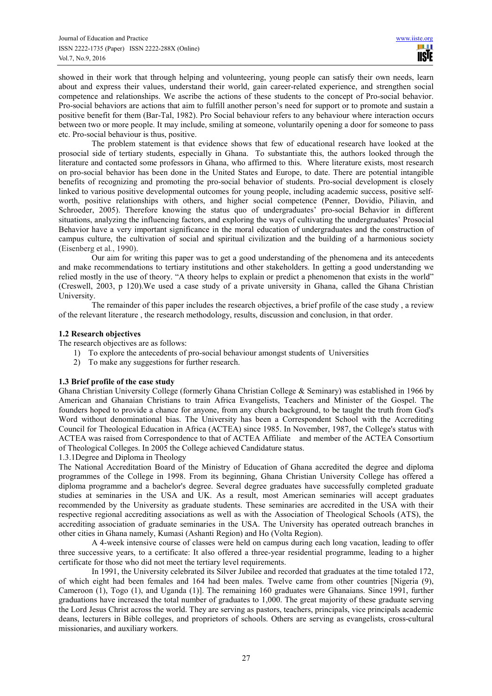showed in their work that through helping and volunteering, young people can satisfy their own needs, learn about and express their values, understand their world, gain career-related experience, and strengthen social competence and relationships. We ascribe the actions of these students to the concept of Pro-social behavior. Pro-social behaviors are actions that aim to fulfill another person's need for support or to promote and sustain a positive benefit for them (Bar-Tal, 1982). Pro Social behaviour refers to any behaviour where interaction occurs between two or more people. It may include, smiling at someone, voluntarily opening a door for someone to pass etc. Pro-social behaviour is thus, positive.

The problem statement is that evidence shows that few of educational research have looked at the prosocial side of tertiary students, especially in Ghana. To substantiate this, the authors looked through the literature and contacted some professors in Ghana, who affirmed to this. Where literature exists, most research on pro-social behavior has been done in the United States and Europe, to date. There are potential intangible benefits of recognizing and promoting the pro-social behavior of students. Pro-social development is closely linked to various positive developmental outcomes for young people, including academic success, positive selfworth, positive relationships with others, and higher social competence (Penner, Dovidio, Piliavin, and Schroeder, 2005). Therefore knowing the status quo of undergraduates' pro-social Behavior in different situations, analyzing the influencing factors, and exploring the ways of cultivating the undergraduates' Prosocial Behavior have a very important significance in the moral education of undergraduates and the construction of campus culture, the cultivation of social and spiritual civilization and the building of a harmonious society (Eisenberg et al*.*, 1990).

Our aim for writing this paper was to get a good understanding of the phenomena and its antecedents and make recommendations to tertiary institutions and other stakeholders. In getting a good understanding we relied mostly in the use of theory. "A theory helps to explain or predict a phenomenon that exists in the world" (Creswell, 2003, p 120).We used a case study of a private university in Ghana, called the Ghana Christian University.

The remainder of this paper includes the research objectives, a brief profile of the case study , a review of the relevant literature , the research methodology, results, discussion and conclusion, in that order.

## **1.2 Research objectives**

The research objectives are as follows:

- 1) To explore the antecedents of pro-social behaviour amongst students of Universities
- 2) To make any suggestions for further research.

#### **1.3 Brief profile of the case study**

Ghana Christian University College (formerly Ghana Christian College & Seminary) was established in 1966 by American and Ghanaian Christians to train Africa Evangelists, Teachers and Minister of the Gospel. The founders hoped to provide a chance for anyone, from any church background, to be taught the truth from God's Word without denominational bias. The University has been a Correspondent School with the Accrediting Council for Theological Education in Africa (ACTEA) since 1985. In November, 1987, the College's status with ACTEA was raised from Correspondence to that of ACTEA Affiliate and member of the ACTEA Consortium of Theological Colleges. In 2005 the College achieved Candidature status.

1.3.1Degree and Diploma in Theology

The National Accreditation Board of the Ministry of Education of Ghana accredited the degree and diploma programmes of the College in 1998. From its beginning, Ghana Christian University College has offered a diploma programme and a bachelor's degree. Several degree graduates have successfully completed graduate studies at seminaries in the USA and UK. As a result, most American seminaries will accept graduates recommended by the University as graduate students. These seminaries are accredited in the USA with their respective regional accrediting associations as well as with the Association of Theological Schools (ATS), the accrediting association of graduate seminaries in the USA. The University has operated outreach branches in other cities in Ghana namely, Kumasi (Ashanti Region) and Ho (Volta Region).

A 4-week intensive course of classes were held on campus during each long vacation, leading to offer three successive years, to a certificate: It also offered a three-year residential programme, leading to a higher certificate for those who did not meet the tertiary level requirements.

In 1991, the University celebrated its Silver Jubilee and recorded that graduates at the time totaled 172, of which eight had been females and 164 had been males. Twelve came from other countries [Nigeria (9), Cameroon (1), Togo (1), and Uganda (1)]. The remaining 160 graduates were Ghanaians. Since 1991, further graduations have increased the total number of graduates to 1,000. The great majority of these graduate serving the Lord Jesus Christ across the world. They are serving as pastors, teachers, principals, vice principals academic deans, lecturers in Bible colleges, and proprietors of schools. Others are serving as evangelists, cross-cultural missionaries, and auxiliary workers.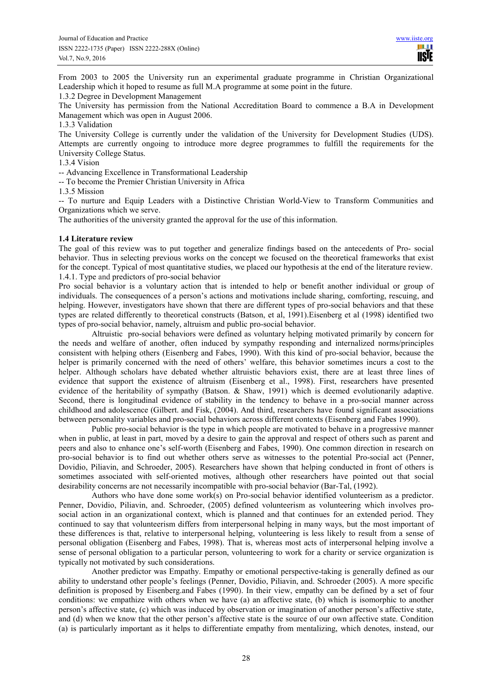From 2003 to 2005 the University run an experimental graduate programme in Christian Organizational Leadership which it hoped to resume as full M.A programme at some point in the future.

1.3.2 Degree in Development Management

The University has permission from the National Accreditation Board to commence a B.A in Development Management which was open in August 2006.

1.3.3 Validation

The University College is currently under the validation of the University for Development Studies (UDS). Attempts are currently ongoing to introduce more degree programmes to fulfill the requirements for the University College Status.

## 1.3.4 Vision

-- Advancing Excellence in Transformational Leadership

-- To become the Premier Christian University in Africa

1.3.5 Mission

-- To nurture and Equip Leaders with a Distinctive Christian World-View to Transform Communities and Organizations which we serve.

The authorities of the university granted the approval for the use of this information.

## **1.4 Literature review**

The goal of this review was to put together and generalize findings based on the antecedents of Pro- social behavior. Thus in selecting previous works on the concept we focused on the theoretical frameworks that exist for the concept. Typical of most quantitative studies, we placed our hypothesis at the end of the literature review. 1.4.1. Type and predictors of pro-social behavior

Pro social behavior is a voluntary action that is intended to help or benefit another individual or group of individuals. The consequences of a person's actions and motivations include sharing, comforting, rescuing, and helping. However, investigators have shown that there are different types of pro-social behaviors and that these types are related differently to theoretical constructs (Batson, et al, 1991).Eisenberg et al (1998) identified two types of pro-social behavior, namely, altruism and public pro-social behavior.

Altruistic pro-social behaviors were defined as voluntary helping motivated primarily by concern for the needs and welfare of another, often induced by sympathy responding and internalized norms/principles consistent with helping others (Eisenberg and Fabes, 1990). With this kind of pro-social behavior, because the helper is primarily concerned with the need of others' welfare, this behavior sometimes incurs a cost to the helper. Although scholars have debated whether altruistic behaviors exist, there are at least three lines of evidence that support the existence of altruism (Eisenberg et al., 1998). First, researchers have presented evidence of the heritability of sympathy (Batson. & Shaw, 1991) which is deemed evolutionarily adaptive. Second, there is longitudinal evidence of stability in the tendency to behave in a pro-social manner across childhood and adolescence (Gilbert. and Fisk, (2004). And third, researchers have found significant associations between personality variables and pro-social behaviors across different contexts (Eisenberg and Fabes 1990).

Public pro-social behavior is the type in which people are motivated to behave in a progressive manner when in public, at least in part, moved by a desire to gain the approval and respect of others such as parent and peers and also to enhance one's self-worth (Eisenberg and Fabes, 1990). One common direction in research on pro-social behavior is to find out whether others serve as witnesses to the potential Pro-social act (Penner, Dovidio, Piliavin, and Schroeder, 2005). Researchers have shown that helping conducted in front of others is sometimes associated with self-oriented motives, although other researchers have pointed out that social desirability concerns are not necessarily incompatible with pro-social behavior (Bar-Tal, (1992).

Authors who have done some work(s) on Pro-social behavior identified volunteerism as a predictor. Penner, Dovidio, Piliavin, and. Schroeder, (2005) defined volunteerism as volunteering which involves prosocial action in an organizational context, which is planned and that continues for an extended period. They continued to say that volunteerism differs from interpersonal helping in many ways, but the most important of these differences is that, relative to interpersonal helping, volunteering is less likely to result from a sense of personal obligation (Eisenberg and Fabes, 1998). That is, whereas most acts of interpersonal helping involve a sense of personal obligation to a particular person, volunteering to work for a charity or service organization is typically not motivated by such considerations.

Another predictor was Empathy. Empathy or emotional perspective-taking is generally defined as our ability to understand other people's feelings (Penner, Dovidio, Piliavin, and. Schroeder (2005). A more specific definition is proposed by Eisenberg.and Fabes (1990). In their view, empathy can be defined by a set of four conditions: we empathize with others when we have (a) an affective state, (b) which is isomorphic to another person's affective state, (c) which was induced by observation or imagination of another person's affective state, and (d) when we know that the other person's affective state is the source of our own affective state. Condition (a) is particularly important as it helps to differentiate empathy from mentalizing, which denotes, instead, our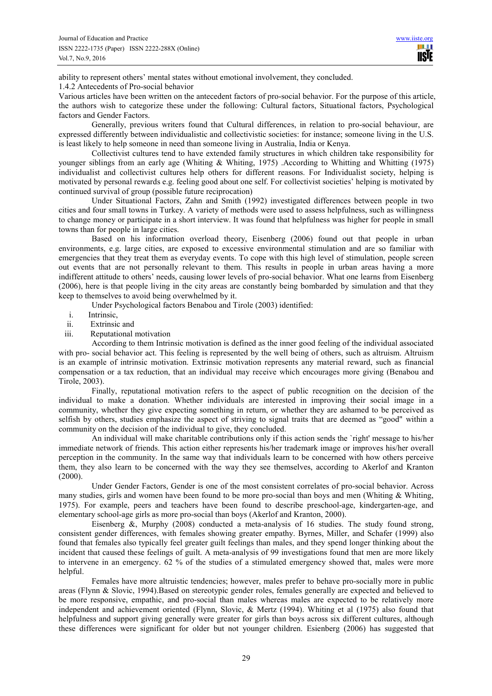ability to represent others' mental states without emotional involvement, they concluded.

#### 1.4.2 Antecedents of Pro-social behavior

Various articles have been written on the antecedent factors of pro-social behavior. For the purpose of this article, the authors wish to categorize these under the following: Cultural factors, Situational factors, Psychological factors and Gender Factors.

Generally, previous writers found that Cultural differences, in relation to pro-social behaviour, are expressed differently between individualistic and collectivistic societies: for instance; someone living in the U.S. is least likely to help someone in need than someone living in Australia, India or Kenya.

Collectivist cultures tend to have extended family structures in which children take responsibility for younger siblings from an early age (Whiting & Whiting, 1975) .According to Whitting and Whitting (1975) individualist and collectivist cultures help others for different reasons. For Individualist society, helping is motivated by personal rewards e.g. feeling good about one self. For collectivist societies' helping is motivated by continued survival of group (possible future reciprocation)

Under Situational Factors, Zahn and Smith (1992) investigated differences between people in two cities and four small towns in Turkey. A variety of methods were used to assess helpfulness, such as willingness to change money or participate in a short interview. It was found that helpfulness was higher for people in small towns than for people in large cities.

Based on his information overload theory, Eisenberg (2006) found out that people in urban environments, e.g. large cities, are exposed to excessive environmental stimulation and are so familiar with emergencies that they treat them as everyday events. To cope with this high level of stimulation, people screen out events that are not personally relevant to them. This results in people in urban areas having a more indifferent attitude to others' needs, causing lower levels of pro-social behavior. What one learns from Eisenberg (2006), here is that people living in the city areas are constantly being bombarded by simulation and that they keep to themselves to avoid being overwhelmed by it.

Under Psychological factors Benabou and Tirole (2003) identified:

- i. Intrinsic,
- ii. Extrinsic and
- iii. Reputational motivation

According to them Intrinsic motivation is defined as the inner good feeling of the individual associated with pro- social behavior act. This feeling is represented by the well being of others, such as altruism. Altruism is an example of intrinsic motivation. Extrinsic motivation represents any material reward, such as financial compensation or a tax reduction, that an individual may receive which encourages more giving (Benabou and Tirole, 2003).

Finally, reputational motivation refers to the aspect of public recognition on the decision of the individual to make a donation. Whether individuals are interested in improving their social image in a community, whether they give expecting something in return, or whether they are ashamed to be perceived as selfish by others, studies emphasize the aspect of striving to signal traits that are deemed as "good" within a community on the decision of the individual to give, they concluded.

An individual will make charitable contributions only if this action sends the `right' message to his/her immediate network of friends. This action either represents his/her trademark image or improves his/her overall perception in the community. In the same way that individuals learn to be concerned with how others perceive them, they also learn to be concerned with the way they see themselves, according to Akerlof and Kranton (2000).

Under Gender Factors, Gender is one of the most consistent correlates of pro-social behavior. Across many studies, girls and women have been found to be more pro-social than boys and men (Whiting  $\&$  Whiting, 1975). For example, peers and teachers have been found to describe preschool-age, kindergarten-age, and elementary school-age girls as more pro-social than boys (Akerlof and Kranton, 2000).

Eisenberg &, Murphy (2008) conducted a meta-analysis of 16 studies. The study found strong, consistent gender differences, with females showing greater empathy. Byrnes, Miller, and Schafer (1999) also found that females also typically feel greater guilt feelings than males, and they spend longer thinking about the incident that caused these feelings of guilt. A meta-analysis of 99 investigations found that men are more likely to intervene in an emergency. 62 % of the studies of a stimulated emergency showed that, males were more helpful.

Females have more altruistic tendencies; however, males prefer to behave pro-socially more in public areas (Flynn & Slovic, 1994).Based on stereotypic gender roles, females generally are expected and believed to be more responsive, empathic, and pro-social than males whereas males are expected to be relatively more independent and achievement oriented (Flynn, Slovic, & Mertz (1994). Whiting et al (1975) also found that helpfulness and support giving generally were greater for girls than boys across six different cultures, although these differences were significant for older but not younger children. Esienberg (2006) has suggested that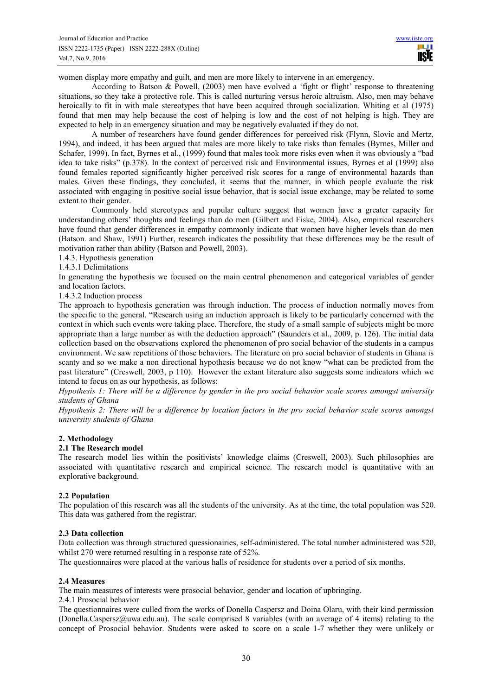women display more empathy and guilt, and men are more likely to intervene in an emergency.

According to Batson & Powell, (2003) men have evolved a 'fight or flight' response to threatening situations, so they take a protective role. This is called nurturing versus heroic altruism. Also, men may behave heroically to fit in with male stereotypes that have been acquired through socialization. Whiting et al (1975) found that men may help because the cost of helping is low and the cost of not helping is high. They are expected to help in an emergency situation and may be negatively evaluated if they do not.

A number of researchers have found gender differences for perceived risk (Flynn, Slovic and Mertz, 1994), and indeed, it has been argued that males are more likely to take risks than females (Byrnes, Miller and Schafer, 1999). In fact, Byrnes et al., (1999) found that males took more risks even when it was obviously a "bad idea to take risks" (p.378). In the context of perceived risk and Environmental issues, Byrnes et al (1999) also found females reported significantly higher perceived risk scores for a range of environmental hazards than males. Given these findings, they concluded, it seems that the manner, in which people evaluate the risk associated with engaging in positive social issue behavior, that is social issue exchange, may be related to some extent to their gender.

Commonly held stereotypes and popular culture suggest that women have a greater capacity for understanding others' thoughts and feelings than do men (Gilbert and Fiske, 2004). Also, empirical researchers have found that gender differences in empathy commonly indicate that women have higher levels than do men (Batson. and Shaw, 1991) Further, research indicates the possibility that these differences may be the result of motivation rather than ability (Batson and Powell, 2003).

#### 1.4.3. Hypothesis generation

#### 1.4.3.1 Delimitations

In generating the hypothesis we focused on the main central phenomenon and categorical variables of gender and location factors.

#### 1.4.3.2 Induction process

The approach to hypothesis generation was through induction. The process of induction normally moves from the specific to the general. "Research using an induction approach is likely to be particularly concerned with the context in which such events were taking place. Therefore, the study of a small sample of subjects might be more appropriate than a large number as with the deduction approach" (Saunders et al., 2009, p. 126). The initial data collection based on the observations explored the phenomenon of pro social behavior of the students in a campus environment. We saw repetitions of those behaviors. The literature on pro social behavior of students in Ghana is scanty and so we make a non directional hypothesis because we do not know "what can be predicted from the past literature" (Creswell, 2003, p 110). However the extant literature also suggests some indicators which we intend to focus on as our hypothesis, as follows:

*Hypothesis 1: There will be a difference by gender in the pro social behavior scale scores amongst university students of Ghana* 

*Hypothesis 2: There will be a difference by location factors in the pro social behavior scale scores amongst university students of Ghana* 

#### **2. Methodology**

## **2.1 The Research model**

The research model lies within the positivists' knowledge claims (Creswell, 2003). Such philosophies are associated with quantitative research and empirical science. The research model is quantitative with an explorative background.

#### **2.2 Population**

The population of this research was all the students of the university. As at the time, the total population was 520. This data was gathered from the registrar.

#### **2.3 Data collection**

Data collection was through structured quessionairies, self-administered. The total number administered was 520, whilst 270 were returned resulting in a response rate of 52%.

The questionnaires were placed at the various halls of residence for students over a period of six months.

#### **2.4 Measures**

The main measures of interests were prosocial behavior, gender and location of upbringing.

2.4.1 Prosocial behavior

The questionnaires were culled from the works of Donella Caspersz and Doina Olaru, with their kind permission (Donella.Caspersz@uwa.edu.au). The scale comprised 8 variables (with an average of 4 items) relating to the concept of Prosocial behavior. Students were asked to score on a scale 1-7 whether they were unlikely or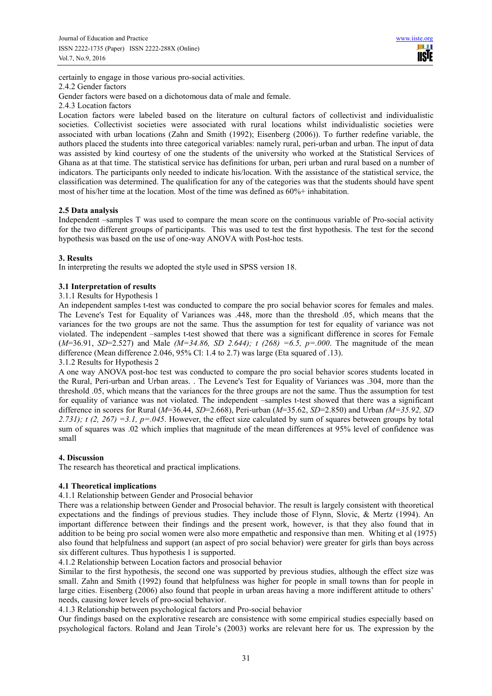certainly to engage in those various pro-social activities. 2.4.2 Gender factors

Gender factors were based on a dichotomous data of male and female.

2.4.3 Location factors

Location factors were labeled based on the literature on cultural factors of collectivist and individualistic societies. Collectivist societies were associated with rural locations whilst individualistic societies were associated with urban locations (Zahn and Smith (1992); Eisenberg (2006)). To further redefine variable, the authors placed the students into three categorical variables: namely rural, peri-urban and urban. The input of data was assisted by kind courtesy of one the students of the university who worked at the Statistical Services of Ghana as at that time. The statistical service has definitions for urban, peri urban and rural based on a number of indicators. The participants only needed to indicate his/location. With the assistance of the statistical service, the classification was determined. The qualification for any of the categories was that the students should have spent most of his/her time at the location. Most of the time was defined as 60%+ inhabitation.

# **2.5 Data analysis**

Independent –samples T was used to compare the mean score on the continuous variable of Pro-social activity for the two different groups of participants. This was used to test the first hypothesis. The test for the second hypothesis was based on the use of one-way ANOVA with Post-hoc tests.

# **3. Results**

In interpreting the results we adopted the style used in SPSS version 18.

# **3.1 Interpretation of results**

## 3.1.1 Results for Hypothesis 1

An independent samples t-test was conducted to compare the pro social behavior scores for females and males. The Levene's Test for Equality of Variances was .448, more than the threshold .05, which means that the variances for the two groups are not the same. Thus the assumption for test for equality of variance was not violated. The independent –samples t-test showed that there was a significant difference in scores for Female  $(M=36.91, SD=2.527)$  and Male  $(M=34.86, SD 2.644)$ ; t  $(268) = 6.5$ ,  $p=.000$ . The magnitude of the mean difference (Mean difference 2.046, 95% Cl: 1.4 to 2.7) was large (Eta squared of .13). 3.1.2 Results for Hypothesis 2

A one way ANOVA post-hoc test was conducted to compare the pro social behavior scores students located in the Rural, Peri-urban and Urban areas. . The Levene's Test for Equality of Variances was .304, more than the threshold .05, which means that the variances for the three groups are not the same. Thus the assumption for test for equality of variance was not violated. The independent –samples t-test showed that there was a significant difference in scores for Rural (*M*=36.44, *SD*=2.668), Peri-urban (*M*=35.62, *SD*=2.850) and Urban *(M=35.92, SD 2.731); t (2, 267) =3.1, p=.045*. However, the effect size calculated by sum of squares between groups by total sum of squares was .02 which implies that magnitude of the mean differences at 95% level of confidence was small

## **4. Discussion**

The research has theoretical and practical implications.

# **4.1 Theoretical implications**

## 4.1.1 Relationship between Gender and Prosocial behavior

There was a relationship between Gender and Prosocial behavior. The result is largely consistent with theoretical expectations and the findings of previous studies. They include those of Flynn, Slovic, & Mertz (1994). An important difference between their findings and the present work, however, is that they also found that in addition to be being pro social women were also more empathetic and responsive than men. Whiting et al (1975) also found that helpfulness and support (an aspect of pro social behavior) were greater for girls than boys across six different cultures. Thus hypothesis 1 is supported.

4.1.2 Relationship between Location factors and prosocial behavior

Similar to the first hypothesis, the second one was supported by previous studies, although the effect size was small. Zahn and Smith (1992) found that helpfulness was higher for people in small towns than for people in large cities. Eisenberg (2006) also found that people in urban areas having a more indifferent attitude to others' needs, causing lower levels of pro-social behavior.

4.1.3 Relationship between psychological factors and Pro-social behavior

Our findings based on the explorative research are consistence with some empirical studies especially based on psychological factors. Roland and Jean Tirole's (2003) works are relevant here for us. The expression by the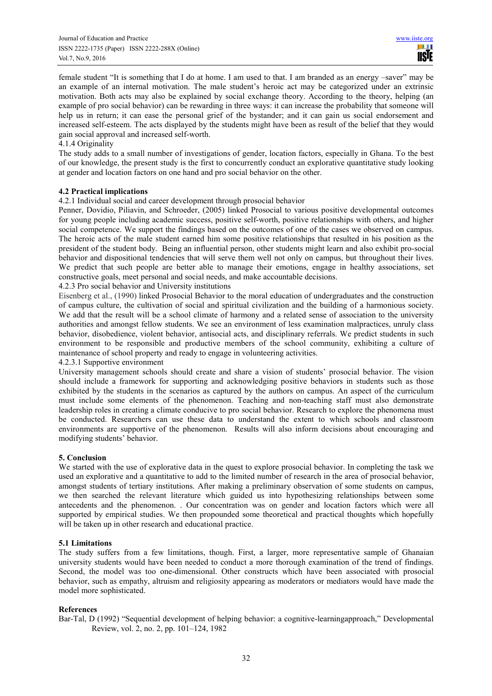female student "It is something that I do at home. I am used to that. I am branded as an energy –saver" may be an example of an internal motivation. The male student's heroic act may be categorized under an extrinsic motivation. Both acts may also be explained by social exchange theory. According to the theory, helping (an example of pro social behavior) can be rewarding in three ways: it can increase the probability that someone will help us in return; it can ease the personal grief of the bystander; and it can gain us social endorsement and increased self-esteem. The acts displayed by the students might have been as result of the belief that they would gain social approval and increased self-worth.

## 4.1.4 Originality

The study adds to a small number of investigations of gender, location factors, especially in Ghana. To the best of our knowledge, the present study is the first to concurrently conduct an explorative quantitative study looking at gender and location factors on one hand and pro social behavior on the other.

## **4.2 Practical implications**

4.2.1 Individual social and career development through prosocial behavior

Penner, Dovidio, Piliavin, and Schroeder, (2005) linked Prosocial to various positive developmental outcomes for young people including academic success, positive self-worth, positive relationships with others, and higher social competence. We support the findings based on the outcomes of one of the cases we observed on campus. The heroic acts of the male student earned him some positive relationships that resulted in his position as the president of the student body. Being an influential person, other students might learn and also exhibit pro-social behavior and dispositional tendencies that will serve them well not only on campus, but throughout their lives. We predict that such people are better able to manage their emotions, engage in healthy associations, set constructive goals, meet personal and social needs, and make accountable decisions.

4.2.3 Pro social behavior and University institutions

Eisenberg et al., (1990) linked Prosocial Behavior to the moral education of undergraduates and the construction of campus culture, the cultivation of social and spiritual civilization and the building of a harmonious society. We add that the result will be a school climate of harmony and a related sense of association to the university authorities and amongst fellow students. We see an environment of less examination malpractices, unruly class behavior, disobedience, violent behavior, antisocial acts, and disciplinary referrals. We predict students in such environment to be responsible and productive members of the school community, exhibiting a culture of maintenance of school property and ready to engage in volunteering activities.

## 4.2.3.1 Supportive environment

University management schools should create and share a vision of students' prosocial behavior. The vision should include a framework for supporting and acknowledging positive behaviors in students such as those exhibited by the students in the scenarios as captured by the authors on campus. An aspect of the curriculum must include some elements of the phenomenon. Teaching and non-teaching staff must also demonstrate leadership roles in creating a climate conducive to pro social behavior. Research to explore the phenomena must be conducted. Researchers can use these data to understand the extent to which schools and classroom environments are supportive of the phenomenon. Results will also inform decisions about encouraging and modifying students' behavior.

## **5. Conclusion**

We started with the use of explorative data in the quest to explore prosocial behavior. In completing the task we used an explorative and a quantitative to add to the limited number of research in the area of prosocial behavior, amongst students of tertiary institutions. After making a preliminary observation of some students on campus, we then searched the relevant literature which guided us into hypothesizing relationships between some antecedents and the phenomenon. . Our concentration was on gender and location factors which were all supported by empirical studies. We then propounded some theoretical and practical thoughts which hopefully will be taken up in other research and educational practice.

## **5.1 Limitations**

The study suffers from a few limitations, though. First, a larger, more representative sample of Ghanaian university students would have been needed to conduct a more thorough examination of the trend of findings. Second, the model was too one-dimensional. Other constructs which have been associated with prosocial behavior, such as empathy, altruism and religiosity appearing as moderators or mediators would have made the model more sophisticated.

## **References**

Bar-Tal, D (1992) "Sequential development of helping behavior: a cognitive-learningapproach," Developmental Review, vol. 2, no. 2, pp. 101–124, 1982